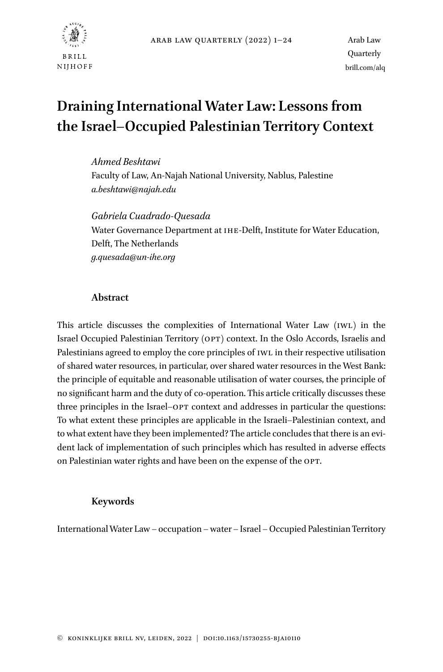

# **Draining International Water Law: Lessons from the Israel–Occupied Palestinian Territory Context**

*Ahmed Beshtawi* Faculty of Law, An-Najah National University, Nablus, Palestine *[a.beshtawi@najah.edu](mailto:a.beshtawi@najah.edu)*

*Gabriela Cuadrado-Quesada* Water Governance Department at IHE-Delft, Institute for Water Education, Delft, The Netherlands *[g.quesada@un-ihe.org](mailto:g.quesada@un-ihe.org)*

## **Abstract**

This article discusses the complexities of International Water Law (IWL) in the Israel Occupied Palestinian Territory (OPT) context. In the Oslo Accords, Israelis and Palestinians agreed to employ the core principles of IWL in their respective utilisation of shared water resources, in particular, over shared water resources in the West Bank: the principle of equitable and reasonable utilisation of water courses, the principle of no significant harm and the duty of co-operation. This article critically discusses these three principles in the Israel–OPT context and addresses in particular the questions: To what extent these principles are applicable in the Israeli–Palestinian context, and to what extent have they been implemented? The article concludes that there is an evident lack of implementation of such principles which has resulted in adverse effects on Palestinian water rights and have been on the expense of the OPT.

## **Keywords**

International Water Law – occupation –water – Israel – Occupied Palestinian Territory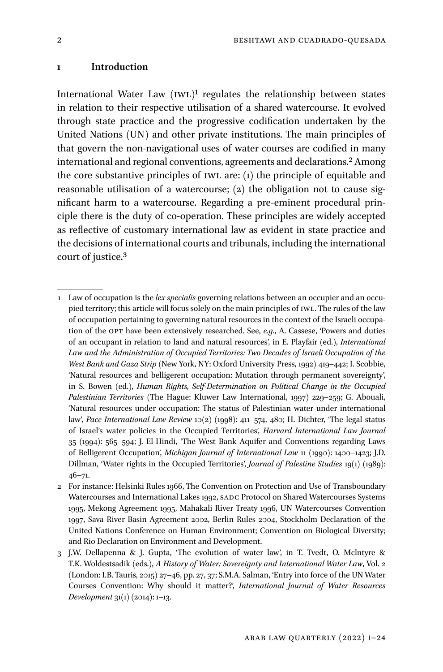#### **1 Introduction**

International Water Law (IWL)1 regulates the relationship between states in relation to their respective utilisation of a shared watercourse. It evolved through state practice and the progressive codification undertaken by the United Nations (UN) and other private institutions. The main principles of that govern the non-navigational uses of water courses are codified in many international and regional conventions, agreements and declarations.2 Among the core substantive principles of IWL are: (1) the principle of equitable and reasonable utilisation of a watercourse; (2) the obligation not to cause significant harm to a watercourse. Regarding a pre-eminent procedural principle there is the duty of co-operation. These principles are widely accepted as reflective of customary international law as evident in state practice and the decisions of international courts and tribunals, including the international court of justice.3

<sup>1</sup> Law of occupation is the *lex specialis* governing relations between an occupier and an occupied territory; this article will focus solely on the main principles of IWL. The rules of the law of occupation pertaining to governing natural resources in the context of the Israeli occupation of the OPT have been extensively researched. See, *e.g.*, A. Cassese, 'Powers and duties of an occupant in relation to land and natural resources', in E. Playfair (ed.), *International Law and the Administration of Occupied Territories: Two Decades of Israeli Occupation of the West Bank and Gaza Strip* (New York, NY: Oxford University Press, 1992) 419–442; I. Scobbie, 'Natural resources and belligerent occupation: Mutation through permanent sovereignty', in S. Bowen (ed.), *Human Rights, Self-Determination on Political Change in the Occupied Palestinian Territories* (The Hague: Kluwer Law International, 1997) 229–259; G. Abouali, 'Natural resources under occupation: The status of Palestinian water under international law', *Pace International Law Review* 10(2) (1998): 411–574, 480; H. Dichter, 'The legal status of Israel's water policies in the Occupied Territories', *Harvard International Law Journal* 35 (1994): 565–594; J. El-Hindi, 'The West Bank Aquifer and Conventions regarding Laws of Belligerent Occupation', *Michigan Journal of International Law* 11 (1990): 1400–1423; J.D. Dillman, 'Water rights in the Occupied Territories', *Journal of Palestine Studies* 19(1) (1989):  $46 - 71.$ 

<sup>2</sup> For instance: Helsinki Rules 1966, The Convention on Protection and Use of Transboundary Watercourses and International Lakes 1992, SADC Protocol on Shared Watercourses Systems 1995, Mekong Agreement 1995, Mahakali River Treaty 1996, UN Watercourses Convention 1997, Sava River Basin Agreement 2002, Berlin Rules 2004, Stockholm Declaration of the United Nations Conference on Human Environment; Convention on Biological Diversity; and Rio Declaration on Environment and Development.

<sup>3</sup> J.W. Dellapenna & J. Gupta, 'The evolution of water law', in T. Tvedt, O. Mclntyre & T.K. Woldestsadik (eds.), *A History of Water: Sovereignty and International Water Law*, Vol. 2 (London: I.B. Tauris, 2015) 27–46, pp. 27, 37; S.M.A. Salman, 'Entry into force of the UN Water Courses Convention: Why should it matter?', *International Journal of Water Resources Development* 31(1) (2014): 1–13.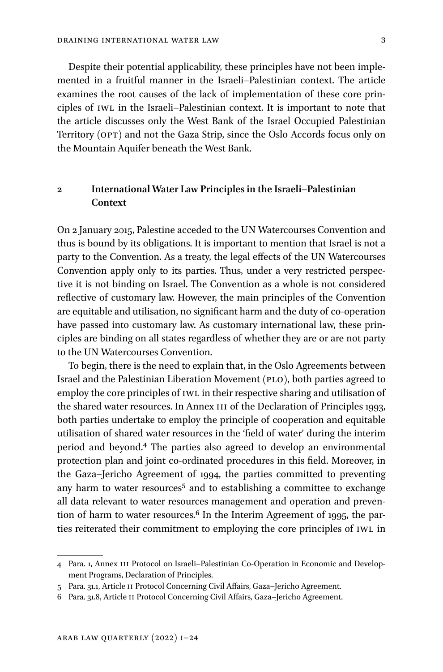Despite their potential applicability, these principles have not been implemented in a fruitful manner in the Israeli–Palestinian context. The article examines the root causes of the lack of implementation of these core principles of IWL in the Israeli–Palestinian context. It is important to note that the article discusses only the West Bank of the Israel Occupied Palestinian Territory (OPT) and not the Gaza Strip, since the Oslo Accords focus only on the Mountain Aquifer beneath the West Bank.

# **2 International Water Law Principles in the Israeli–Palestinian Context**

On 2 January 2015, Palestine acceded to the UN Watercourses Convention and thus is bound by its obligations. It is important to mention that Israel is not a party to the Convention. As a treaty, the legal effects of the UN Watercourses Convention apply only to its parties. Thus, under a very restricted perspective it is not binding on Israel. The Convention as a whole is not considered reflective of customary law. However, the main principles of the Convention are equitable and utilisation, no significant harm and the duty of co-operation have passed into customary law. As customary international law, these principles are binding on all states regardless of whether they are or are not party to the UN Watercourses Convention.

To begin, there is the need to explain that, in the Oslo Agreements between Israel and the Palestinian Liberation Movement (PLO), both parties agreed to employ the core principles of IWL in their respective sharing and utilisation of the shared water resources. In Annex III of the Declaration of Principles 1993, both parties undertake to employ the principle of cooperation and equitable utilisation of shared water resources in the 'field of water' during the interim period and beyond.4 The parties also agreed to develop an environmental protection plan and joint co-ordinated procedures in this field. Moreover, in the Gaza–Jericho Agreement of 1994, the parties committed to preventing any harm to water resources<sup>5</sup> and to establishing a committee to exchange all data relevant to water resources management and operation and prevention of harm to water resources. $6$  In the Interim Agreement of 1995, the parties reiterated their commitment to employing the core principles of IWL in

<sup>4</sup> Para. 1, Annex III Protocol on Israeli–Palestinian Co-Operation in Economic and Development Programs, Declaration of Principles.

<sup>5</sup> Para. 31.1, Article II Protocol Concerning Civil Affairs, Gaza–Jericho Agreement.

<sup>6</sup> Para. 31.8, Article II Protocol Concerning Civil Affairs, Gaza–Jericho Agreement.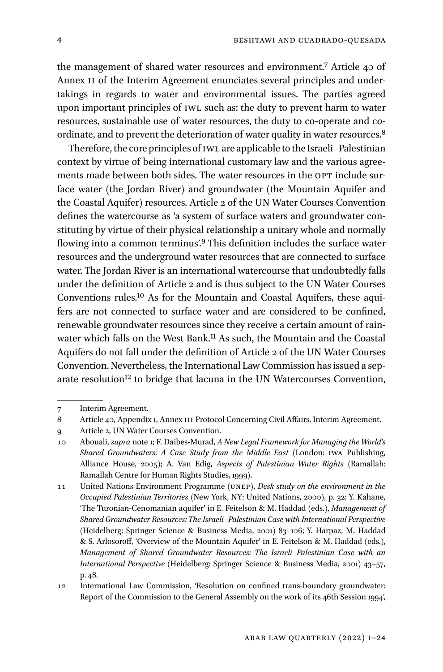the management of shared water resources and environment.7 Article 40 of Annex II of the Interim Agreement enunciates several principles and undertakings in regards to water and environmental issues. The parties agreed upon important principles of IWL such as: the duty to prevent harm to water resources, sustainable use of water resources, the duty to co-operate and coordinate, and to prevent the deterioration of water quality in water resources.<sup>8</sup>

Therefore, the core principles of IWL are applicable to the Israeli–Palestinian context by virtue of being international customary law and the various agreements made between both sides. The water resources in the OPT include surface water (the Jordan River) and groundwater (the Mountain Aquifer and the Coastal Aquifer) resources. Article 2 of the UN Water Courses Convention defines the watercourse as 'a system of surface waters and groundwater constituting by virtue of their physical relationship a unitary whole and normally flowing into a common terminus'.<sup>9</sup> This definition includes the surface water resources and the underground water resources that are connected to surface water. The Jordan River is an international watercourse that undoubtedly falls under the definition of Article 2 and is thus subject to the UN Water Courses Conventions rules.10 As for the Mountain and Coastal Aquifers, these aquifers are not connected to surface water and are considered to be confined, renewable groundwater resources since they receive a certain amount of rainwater which falls on the West Bank.<sup>11</sup> As such, the Mountain and the Coastal Aquifers do not fall under the definition of Article 2 of the UN Water Courses Convention. Nevertheless, the International Law Commission has issued a separate resolution<sup>12</sup> to bridge that lacuna in the UN Watercourses Convention,

<sup>7</sup> Interim Agreement.

<sup>8</sup> Article 40, Appendix 1, Annex III Protocol Concerning Civil Affairs, Interim Agreement.

<sup>9</sup> Article 2, UN Water Courses Convention.

<sup>10</sup> Abouali, *supra* note 1; F. Daibes-Murad, *A New Legal Framework for Managing the World's Shared Groundwaters: A Case Study from the Middle East* (London: IWA Publishing, Alliance House, 2005); A. Van Edig, *Aspects of Palestinian Water Rights* (Ramallah: Ramallah Centre for Human Rights Studies, 1999).

<sup>11</sup> United Nations Environment Programme (UNEP), *Desk study on the environment in the Occupied Palestinian Territories* (New York, NY: United Nations, 2000), p. 32; Y. Kahane, 'The Turonian-Cenomanian aquifer' in E. Feitelson & M. Haddad (eds.), *Management of Shared Groundwater Resources: The Israeli*–*Palestinian Case with International Perspective*  (Heidelberg: Springer Science & Business Media, 2001) 83–106; Y. Harpaz, M. Haddad & S. Arlosoroff, 'Overview of the Mountain Aquifer' in E. Feitelson & M. Haddad (eds.), *Management of Shared Groundwater Resources: The Israeli*–*Palestinian Case with an International Perspective* (Heidelberg: Springer Science & Business Media, 2001) 43–57, p. 48.

<sup>12</sup> International Law Commission, 'Resolution on confined trans-boundary groundwater: Report of the Commission to the General Assembly on the work of its 46th Session 1994',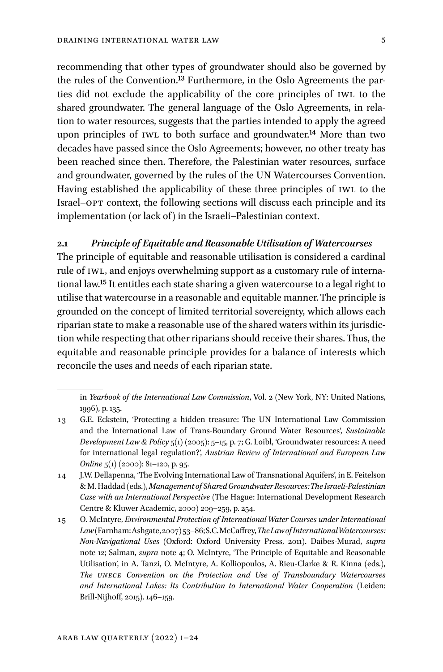recommending that other types of groundwater should also be governed by the rules of the Convention.13 Furthermore, in the Oslo Agreements the parties did not exclude the applicability of the core principles of IWL to the shared groundwater. The general language of the Oslo Agreements, in relation to water resources, suggests that the parties intended to apply the agreed upon principles of IWL to both surface and groundwater.14 More than two decades have passed since the Oslo Agreements; however, no other treaty has been reached since then. Therefore, the Palestinian water resources, surface and groundwater, governed by the rules of the UN Watercourses Convention. Having established the applicability of these three principles of IWL to the Israel–OPT context, the following sections will discuss each principle and its implementation (or lack of) in the Israeli–Palestinian context.

#### **2.1** *Principle of Equitable and Reasonable Utilisation of Watercourses*

The principle of equitable and reasonable utilisation is considered a cardinal rule of IWL, and enjoys overwhelming support as a customary rule of international law.15 It entitles each state sharing a given watercourse to a legal right to utilise that watercourse in a reasonable and equitable manner. The principle is grounded on the concept of limited territorial sovereignty, which allows each riparian state to make a reasonable use of the shared waters within its jurisdiction while respecting that other riparians should receive their shares. Thus, the equitable and reasonable principle provides for a balance of interests which reconcile the uses and needs of each riparian state.

in *Yearbook of the International Law Commission*, Vol. 2 (New York, NY: United Nations, 1996), p. 135.

<sup>13</sup> G.E. Eckstein, 'Protecting a hidden treasure: The UN International Law Commission and the International Law of Trans-Boundary Ground Water Resources', *Sustainable Development Law & Policy* 5(1) (2005): 5–15, p. 7; G. Loibl, 'Groundwater resources: A need for international legal regulation?', *Austrian Review of International and European Law Online* 5(1) (2000): 81–120, p. 95.

<sup>14</sup> J.W. Dellapenna, 'The Evolving International Law of Transnational Aquifers', in E. Feitelson & M. Haddad (eds.), *Management of Shared Groundwater Resources: The Israeli-Palestinian Case with an International Perspective* (The Hague: International Development Research Centre & Kluwer Academic, 2000) 209–259, p. 254.

<sup>15</sup> O. McIntyre, *Environmental Protection of International Water Courses under International Law* (Farnham: Ashgate, 2007) 53–86; S.C. McCaffrey, *The Law of International Watercourses: Non-Navigational Uses* (Oxford: Oxford University Press, 2011). Daibes-Murad, *supra*  note 12; Salman, *supra* note 4; O. McIntyre, 'The Principle of Equitable and Reasonable Utilisation', in A. Tanzi, O. McIntyre, A. Kolliopoulos, A. Rieu-Clarke & R. Kinna (eds.), *The UNECE Convention on the Protection and Use of Transboundary Watercourses and International Lakes: Its Contribution to International Water Cooperation* (Leiden: Brill-Nijhoff, 2015). 146–159.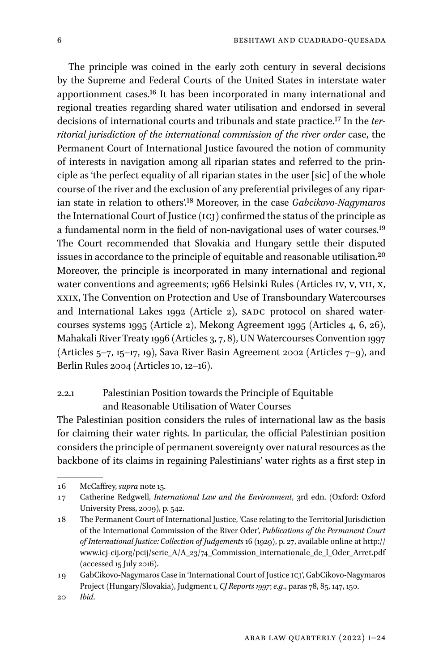The principle was coined in the early 20th century in several decisions by the Supreme and Federal Courts of the United States in interstate water apportionment cases.16 It has been incorporated in many international and regional treaties regarding shared water utilisation and endorsed in several decisions of international courts and tribunals and state practice.17 In the *territorial jurisdiction of the international commission of the river order* case, the Permanent Court of International Justice favoured the notion of community of interests in navigation among all riparian states and referred to the principle as 'the perfect equality of all riparian states in the user [sic] of the whole course of the river and the exclusion of any preferential privileges of any riparian state in relation to others'.18 Moreover, in the case *Gabcikovo-Nagymaros* the International Court of Justice (ICJ) confirmed the status of the principle as a fundamental norm in the field of non-navigational uses of water courses.19 The Court recommended that Slovakia and Hungary settle their disputed issues in accordance to the principle of equitable and reasonable utilisation.20 Moreover, the principle is incorporated in many international and regional water conventions and agreements; 1966 Helsinki Rules (Articles IV, V, VII, X, XXIX, The Convention on Protection and Use of Transboundary Watercourses and International Lakes 1992 (Article 2), SADC protocol on shared watercourses systems 1995 (Article 2), Mekong Agreement 1995 (Articles 4, 6, 26), Mahakali River Treaty 1996 (Articles 3, 7, 8), UN Watercourses Convention 1997 (Articles 5–7, 15–17, 19), Sava River Basin Agreement 2002 (Articles 7–9), and Berlin Rules 2004 (Articles 10, 12–16).

# 2.2.1 Palestinian Position towards the Principle of Equitable and Reasonable Utilisation of Water Courses

The Palestinian position considers the rules of international law as the basis for claiming their water rights. In particular, the official Palestinian position considers the principle of permanent sovereignty over natural resources as the backbone of its claims in regaining Palestinians' water rights as a first step in

<sup>16</sup> McCaffrey, *supra* note 15.

<sup>17</sup> Catherine Redgwell, *International Law and the Environment*, 3rd edn. (Oxford: Oxford University Press, 2009), p. 542.

<sup>18</sup> The Permanent Court of International Justice, 'Case relating to the Territorial Jurisdiction of the International Commission of the River Oder', *Publications of the Permanent Court of International Justice: Collection of Judgements* 16 (1929), p. 27, available online at [http://](http://www.icj-cij.org/pcij/serie_A/A_23/74_Commission_internationale_de_l_Oder_Arret.pdf) [www.icj-cij.org/pcij/serie\\_A/A\\_23/74\\_Commission\\_internationale\\_de\\_l\\_Oder\\_Arret.pdf](http://www.icj-cij.org/pcij/serie_A/A_23/74_Commission_internationale_de_l_Oder_Arret.pdf)  (accessed 15 July 2016).

<sup>19</sup> GabCikovo-Nagymaros Case in 'International Court of Justice ICJ', GabCikovo-Nagymaros Project (Hungary/Slovakia), Judgment 1, *CJ Reports 1997*; *e.g*., paras 78, 85, 147, 150.

<sup>20</sup> *Ibid*.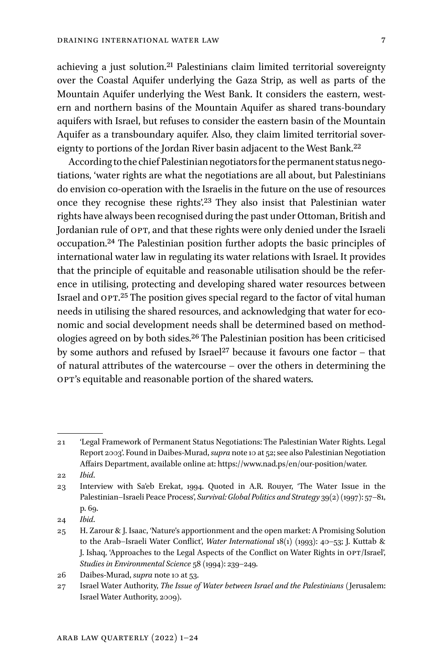achieving a just solution.21 Palestinians claim limited territorial sovereignty over the Coastal Aquifer underlying the Gaza Strip, as well as parts of the Mountain Aquifer underlying the West Bank. It considers the eastern, western and northern basins of the Mountain Aquifer as shared trans-boundary aquifers with Israel, but refuses to consider the eastern basin of the Mountain Aquifer as a transboundary aquifer. Also, they claim limited territorial sovereignty to portions of the Jordan River basin adjacent to the West Bank.<sup>22</sup>

According to the chief Palestinian negotiators for the permanent status negotiations, 'water rights are what the negotiations are all about, but Palestinians do envision co-operation with the Israelis in the future on the use of resources once they recognise these rights'.23 They also insist that Palestinian water rights have always been recognised during the past under Ottoman, British and Jordanian rule of OPT, and that these rights were only denied under the Israeli occupation.24 The Palestinian position further adopts the basic principles of international water law in regulating its water relations with Israel. It provides that the principle of equitable and reasonable utilisation should be the reference in utilising, protecting and developing shared water resources between Israel and OPT.25 The position gives special regard to the factor of vital human needs in utilising the shared resources, and acknowledging that water for economic and social development needs shall be determined based on methodologies agreed on by both sides.26 The Palestinian position has been criticised by some authors and refused by Israel<sup>27</sup> because it favours one factor  $-$  that of natural attributes of the watercourse – over the others in determining the OPT's equitable and reasonable portion of the shared waters.

22 *Ibid*.

24 *Ibid*.

<sup>21</sup> 'Legal Framework of Permanent Status Negotiations: The Palestinian Water Rights. Legal Report 2003'. Found in Daibes-Murad, *supra* note 10 at 52; see also Palestinian Negotiation Affairs Department, available online at: <https://www.nad.ps/en/our-position/water>.

<sup>23</sup> Interview with Sa'eb Erekat, 1994. Quoted in A.R. Rouyer, 'The Water Issue in the Palestinian–Israeli Peace Process', *Survival: Global Politics and Strategy* 39(2) (1997): 57–81, p. 69.

<sup>25</sup> H. Zarour & J. Isaac, 'Nature's apportionment and the open market: A Promising Solution to the Arab–Israeli Water Conflict', *Water International* 18(1) (1993): 40–53; J. Kuttab & J. Ishaq, 'Approaches to the Legal Aspects of the Conflict on Water Rights in OPT/Israel', *Studies in Environmental Science* 58 (1994): 239–249.

<sup>26</sup> Daibes-Murad, *supra* note 10 at 53.

<sup>27</sup> Israel Water Authority, *The Issue of Water between Israel and the Palestinians* (Jerusalem: Israel Water Authority, 2009).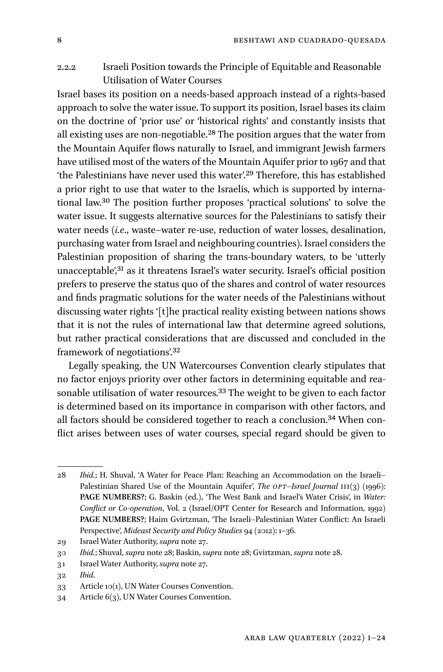# 2.2.2 Israeli Position towards the Principle of Equitable and Reasonable Utilisation of Water Courses

Israel bases its position on a needs-based approach instead of a rights-based approach to solve the water issue. To support its position, Israel bases its claim on the doctrine of 'prior use' or 'historical rights' and constantly insists that all existing uses are non-negotiable.28 The position argues that the water from the Mountain Aquifer flows naturally to Israel, and immigrant Jewish farmers have utilised most of the waters of the Mountain Aquifer prior to 1967 and that 'the Palestinians have never used this water'.29 Therefore, this has established a prior right to use that water to the Israelis, which is supported by international law.30 The position further proposes 'practical solutions' to solve the water issue. It suggests alternative sources for the Palestinians to satisfy their water needs (*i.e*., waste–water re-use, reduction of water losses, desalination, purchasing water from Israel and neighbouring countries). Israel considers the Palestinian proposition of sharing the trans-boundary waters, to be 'utterly unacceptable',31 as it threatens Israel's water security. Israel's official position prefers to preserve the status quo of the shares and control of water resources and finds pragmatic solutions for the water needs of the Palestinians without discussing water rights '[t]he practical reality existing between nations shows that it is not the rules of international law that determine agreed solutions, but rather practical considerations that are discussed and concluded in the framework of negotiations'.32

Legally speaking, the UN Watercourses Convention clearly stipulates that no factor enjoys priority over other factors in determining equitable and reasonable utilisation of water resources.<sup>33</sup> The weight to be given to each factor is determined based on its importance in comparison with other factors, and all factors should be considered together to reach a conclusion.34 When conflict arises between uses of water courses, special regard should be given to

<sup>28</sup> *Ibid.*; H. Shuval, 'A Water for Peace Plan: Reaching an Accommodation on the Israeli– Palestinian Shared Use of the Mountain Aquifer', *The OPT*–*Israel Journal* III(3) (1996): **PAGE NUMBERS?**; G. Baskin (ed.), 'The West Bank and Israel's Water Crisis', in *Water: Conflict or Co-operation*, Vol. 2 (Israel/OPT Center for Research and Information, 1992) **PAGE NUMBERS?**; Haim Gvirtzman, 'The Israeli–Palestinian Water Conflict: An Israeli Perspective', *Mideast Security and Policy Studies* 94 (2012): 1–36*.*

<sup>29</sup> Israel Water Authority, *supra* note 27.

<sup>30</sup> *Ibid.*; Shuval, *supra* note 28; Baskin, *supra* note 28; Gvirtzman, *supra* note 28.

<sup>31</sup> Israel Water Authority, *supra* note 27.

<sup>32</sup> *Ibid*.

<sup>33</sup> Article 10(1), UN Water Courses Convention.

<sup>34</sup> Article 6(3), UN Water Courses Convention.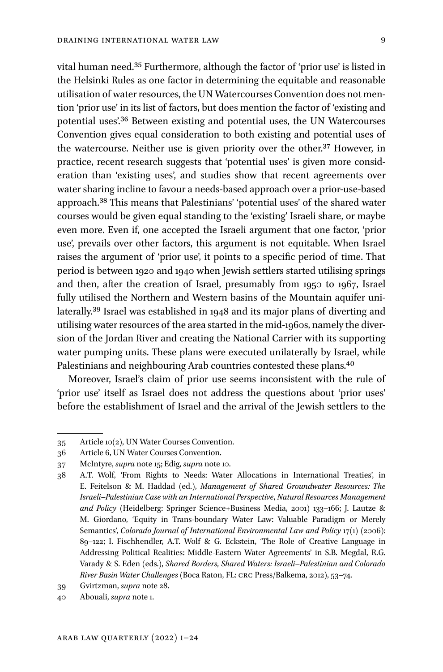vital human need.35 Furthermore, although the factor of 'prior use' is listed in the Helsinki Rules as one factor in determining the equitable and reasonable utilisation of water resources, the UN Watercourses Convention does not mention 'prior use' in its list of factors, but does mention the factor of 'existing and potential uses'.36 Between existing and potential uses, the UN Watercourses Convention gives equal consideration to both existing and potential uses of the watercourse. Neither use is given priority over the other.37 However, in practice, recent research suggests that 'potential uses' is given more consideration than 'existing uses', and studies show that recent agreements over water sharing incline to favour a needs-based approach over a prior-use-based approach.38 This means that Palestinians' 'potential uses' of the shared water courses would be given equal standing to the 'existing' Israeli share, or maybe even more. Even if, one accepted the Israeli argument that one factor, 'prior use', prevails over other factors, this argument is not equitable. When Israel raises the argument of 'prior use', it points to a specific period of time. That period is between 1920 and 1940 when Jewish settlers started utilising springs and then, after the creation of Israel, presumably from 1950 to 1967, Israel fully utilised the Northern and Western basins of the Mountain aquifer unilaterally.39 Israel was established in 1948 and its major plans of diverting and utilising water resources of the area started in the mid-1960s, namely the diversion of the Jordan River and creating the National Carrier with its supporting water pumping units. These plans were executed unilaterally by Israel, while Palestinians and neighbouring Arab countries contested these plans.40

Moreover, Israel's claim of prior use seems inconsistent with the rule of 'prior use' itself as Israel does not address the questions about 'prior uses' before the establishment of Israel and the arrival of the Jewish settlers to the

<sup>35</sup> Article 10(2), UN Water Courses Convention.

<sup>36</sup> Article 6, UN Water Courses Convention.

<sup>37</sup> McIntyre, *supra* note 15; Edig, *supra* note 10.

<sup>38</sup> A.T. Wolf, 'From Rights to Needs: Water Allocations in International Treaties', in E. Feitelson & M. Haddad (ed.), *Management of Shared Groundwater Resources: The Israeli*–*Palestinian Case with an International Perspective*, *Natural Resources Management and Policy* (Heidelberg: Springer Science+Business Media, 2001) 133–166; J. Lautze & M. Giordano, 'Equity in Trans-boundary Water Law: Valuable Paradigm or Merely Semantics', *Colorado Journal of International Environmental Law and Policy 17(1)* (2006): 89–122; I. Fischhendler, A.T. Wolf & G. Eckstein, 'The Role of Creative Language in Addressing Political Realities: Middle-Eastern Water Agreements' in S.B. Megdal, R.G. Varady & S. Eden (eds.), *Shared Borders, Shared Waters: Israeli*–*Palestinian and Colorado River Basin Water Challenges* (Boca Raton, FL: CRC Press/Balkema, 2012), 53–74.

<sup>39</sup> Gvirtzman, *supra* note 28. 40 Abouali, *supra* note 1.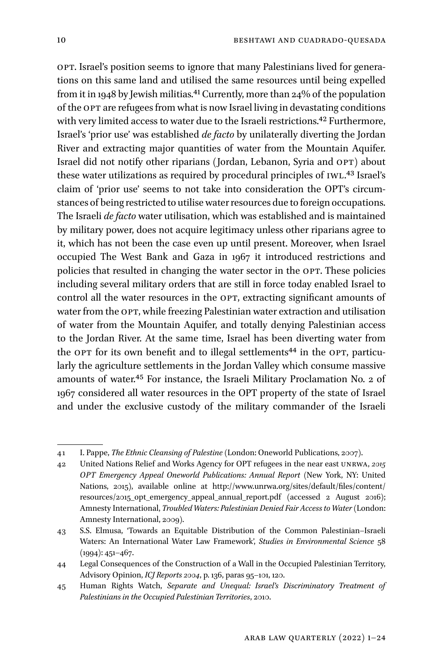OPT. Israel's position seems to ignore that many Palestinians lived for generations on this same land and utilised the same resources until being expelled from it in 1948 by Jewish militias.<sup>41</sup> Currently, more than 24% of the population of the OPT are refugees from what is now Israel living in devastating conditions with very limited access to water due to the Israeli restrictions.<sup>42</sup> Furthermore, Israel's 'prior use' was established *de facto* by unilaterally diverting the Jordan River and extracting major quantities of water from the Mountain Aquifer. Israel did not notify other riparians (Jordan, Lebanon, Syria and OPT) about these water utilizations as required by procedural principles of IWL.<sup>43</sup> Israel's claim of 'prior use' seems to not take into consideration the OPT's circumstances of being restricted to utilise water resources due to foreign occupations. The Israeli *de facto* water utilisation, which was established and is maintained by military power, does not acquire legitimacy unless other riparians agree to it, which has not been the case even up until present. Moreover, when Israel occupied The West Bank and Gaza in 1967 it introduced restrictions and policies that resulted in changing the water sector in the OPT. These policies including several military orders that are still in force today enabled Israel to control all the water resources in the OPT, extracting significant amounts of water from the OPT, while freezing Palestinian water extraction and utilisation of water from the Mountain Aquifer, and totally denying Palestinian access to the Jordan River. At the same time, Israel has been diverting water from the OPT for its own benefit and to illegal settlements<sup>44</sup> in the OPT, particularly the agriculture settlements in the Jordan Valley which consume massive amounts of water.45 For instance, the Israeli Military Proclamation No. 2 of 1967 considered all water resources in the OPT property of the state of Israel and under the exclusive custody of the military commander of the Israeli

<sup>41</sup> I. Pappe, *The Ethnic Cleansing of Palestine* (London: Oneworld Publications, 2007).

<sup>42</sup> United Nations Relief and Works Agency for OPT refugees in the near east UNRWA, *2015 OPT Emergency Appeal Oneworld Publications: Annual Report* (New York, NY: United Nations, 2015), available online at [http://www.unrwa.org/sites/default/files/content/](http://www.unrwa.org/sites/default/files/content/resources/2015_opt_emergency_appeal_annual_report.pdf) [resources/2015\\_opt\\_emergency\\_appeal\\_annual\\_report.pdf](http://www.unrwa.org/sites/default/files/content/resources/2015_opt_emergency_appeal_annual_report.pdf) (accessed 2 August 2016); Amnesty International, *Troubled Waters: Palestinian Denied Fair Access to Water* (London: Amnesty International, 2009).

<sup>43</sup> S.S. Elmusa, 'Towards an Equitable Distribution of the Common Palestinian–Israeli Waters: An International Water Law Framework', *Studies in Environmental Science* 58 (1994): 451–467.

<sup>44</sup> Legal Consequences of the Construction of a Wall in the Occupied Palestinian Territory, Advisory Opinion, *ICJ Reports 2004*, p. 136, paras 95–101, 120.

<sup>45</sup> Human Rights Watch, *Separate and Unequal: Israel's Discriminatory Treatment of Palestinians in the Occupied Palestinian Territories*, 2010.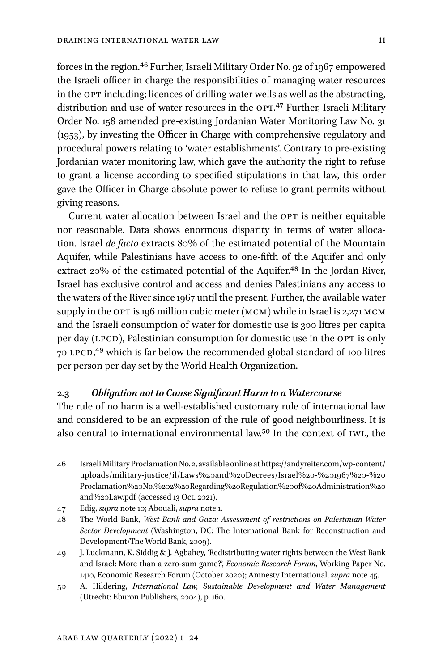forces in the region.46 Further, Israeli Military Order No. 92 of 1967 empowered the Israeli officer in charge the responsibilities of managing water resources in the OPT including; licences of drilling water wells as well as the abstracting, distribution and use of water resources in the OPT.<sup>47</sup> Further, Israeli Military Order No. 158 amended pre-existing Jordanian Water Monitoring Law No. 31 (1953), by investing the Officer in Charge with comprehensive regulatory and procedural powers relating to 'water establishments'. Contrary to pre-existing Jordanian water monitoring law, which gave the authority the right to refuse to grant a license according to specified stipulations in that law, this order gave the Officer in Charge absolute power to refuse to grant permits without giving reasons.

Current water allocation between Israel and the OPT is neither equitable nor reasonable. Data shows enormous disparity in terms of water allocation. Israel *de facto* extracts 80% of the estimated potential of the Mountain Aquifer, while Palestinians have access to one-fifth of the Aquifer and only extract 20% of the estimated potential of the Aquifer.<sup>48</sup> In the Jordan River, Israel has exclusive control and access and denies Palestinians any access to the waters of the River since 1967 until the present. Further, the available water supply in the OPT is 196 million cubic meter (MCM) while in Israel is 2,271 MCM and the Israeli consumption of water for domestic use is 300 litres per capita per day (LPCD), Palestinian consumption for domestic use in the OPT is only 70 LPCD,49 which is far below the recommended global standard of 100 litres per person per day set by the World Health Organization.

### **2.3** *Obligation not to Cause Significant Harm to a Watercourse*

The rule of no harm is a well-established customary rule of international law and considered to be an expression of the rule of good neighbourliness. It is also central to international environmental law.50 In the context of IWL, the

<sup>46</sup> Israeli Military Proclamation No. 2, available online at [https://andyreiter.com/wp-content/](https://andyreiter.com/wp-content/uploads/military-justice/il/Laws%20and%20Decrees/Israel%20-%201967%20-%20Proclamation%20No.%202%20Regarding%20Regulation%20of%20Administration%20and%20Law.pdf) [uploads/military-justice/il/Laws%20and%20Decrees/Israel%20-%201967%20-%20](https://andyreiter.com/wp-content/uploads/military-justice/il/Laws%20and%20Decrees/Israel%20-%201967%20-%20Proclamation%20No.%202%20Regarding%20Regulation%20of%20Administration%20and%20Law.pdf) [Proclamation%20No.%202%20Regarding%20Regulation%20of%20Administration%20](https://andyreiter.com/wp-content/uploads/military-justice/il/Laws%20and%20Decrees/Israel%20-%201967%20-%20Proclamation%20No.%202%20Regarding%20Regulation%20of%20Administration%20and%20Law.pdf) [and%20Law.pdf](https://andyreiter.com/wp-content/uploads/military-justice/il/Laws%20and%20Decrees/Israel%20-%201967%20-%20Proclamation%20No.%202%20Regarding%20Regulation%20of%20Administration%20and%20Law.pdf) (accessed 13 Oct. 2021).

<sup>47</sup> Edig, *supra* note 10; Abouali, *supra* note 1.

<sup>48</sup> The World Bank, *West Bank and Gaza: Assessment of restrictions on Palestinian Water Sector Development* (Washington, DC: The International Bank for Reconstruction and Development/The World Bank, 2009).

<sup>49</sup> J. Luckmann, K. Siddig & J. Agbahey, 'Redistributing water rights between the West Bank and Israel: More than a zero-sum game?', *Economic Research Forum*, Working Paper No. 1410, Economic Research Forum (October 2020); Amnesty International, *supra* note 45.

<sup>50</sup> A. Hildering, *International Law, Sustainable Development and Water Management*  (Utrecht: Eburon Publishers, 2004), p. 160.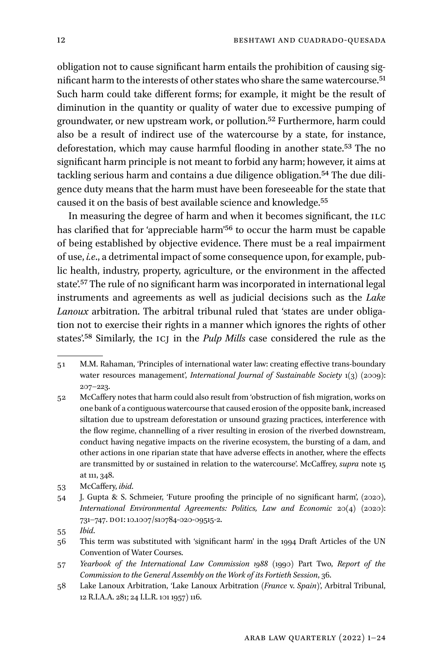obligation not to cause significant harm entails the prohibition of causing significant harm to the interests of other states who share the same watercourse.51 Such harm could take different forms; for example, it might be the result of diminution in the quantity or quality of water due to excessive pumping of groundwater, or new upstream work, or pollution.52 Furthermore, harm could also be a result of indirect use of the watercourse by a state, for instance, deforestation, which may cause harmful flooding in another state.53 The no significant harm principle is not meant to forbid any harm; however, it aims at tackling serious harm and contains a due diligence obligation.<sup>54</sup> The due diligence duty means that the harm must have been foreseeable for the state that caused it on the basis of best available science and knowledge.55

In measuring the degree of harm and when it becomes significant, the ILC has clarified that for 'appreciable harm'56 to occur the harm must be capable of being established by objective evidence. There must be a real impairment of use, *i.e*., a detrimental impact of some consequence upon, for example, public health, industry, property, agriculture, or the environment in the affected state'.57 The rule of no significant harm was incorporated in international legal instruments and agreements as well as judicial decisions such as the *Lake Lanoux* arbitration. The arbitral tribunal ruled that 'states are under obligation not to exercise their rights in a manner which ignores the rights of other states'.58 Similarly, the ICJ in the *Pulp Mills* case considered the rule as the

- 57 *Yearbook of the International Law Commission 1988* (1990) Part Two, *Report of the Commission to the General Assembly on the Work of its Fortieth Session*, 36.
- 58 Lake Lanoux Arbitration, 'Lake Lanoux Arbitration (*France* v. *Spain*)', Arbitral Tribunal, 12 R.I.A.A. 281; 24 I.L.R. 101 1957) 116.

<sup>51</sup> M.M. Rahaman, 'Principles of international water law: creating effective trans-boundary water resources management', *International Journal of Sustainable Society* 1(3) (2009): 207–223.

<sup>52</sup> McCaffery notes that harm could also result from 'obstruction of fish migration, works on one bank of a contiguous watercourse that caused erosion of the opposite bank, increased siltation due to upstream deforestation or unsound grazing practices, interference with the flow regime, channelling of a river resulting in erosion of the riverbed downstream, conduct having negative impacts on the riverine ecosystem, the bursting of a dam, and other actions in one riparian state that have adverse effects in another, where the effects are transmitted by or sustained in relation to the watercourse'. McCaffrey, *supra* note 15 at 111, 348.

<sup>53</sup> McCaffery, *ibid*.

<sup>54</sup> J. Gupta & S. Schmeier, 'Future proofing the principle of no significant harm', (2020), *International Environmental Agreements: Politics, Law and Economic* 20(4) (2020): 731–747. DOI: 10.1007/s10784-020-09515-2.

<sup>55</sup> *Ibid*.

<sup>56</sup> This term was substituted with 'significant harm' in the 1994 Draft Articles of the UN Convention of Water Courses.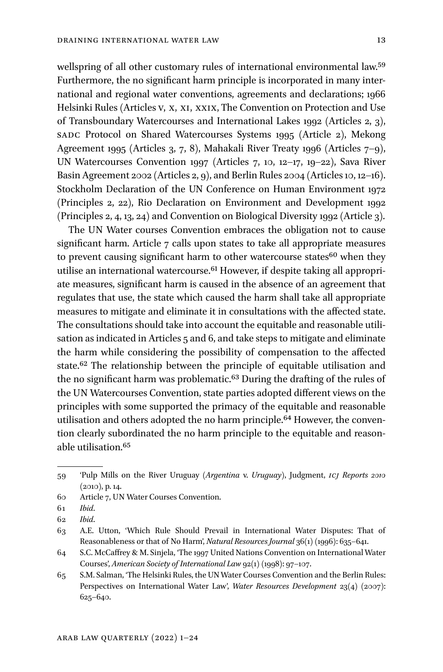wellspring of all other customary rules of international environmental law.<sup>59</sup> Furthermore, the no significant harm principle is incorporated in many international and regional water conventions, agreements and declarations; 1966 Helsinki Rules (Articles V, X, XI, XXIX, The Convention on Protection and Use of Transboundary Watercourses and International Lakes 1992 (Articles 2, 3), SADC Protocol on Shared Watercourses Systems 1995 (Article 2), Mekong Agreement 1995 (Articles 3, 7, 8), Mahakali River Treaty 1996 (Articles 7–9), UN Watercourses Convention 1997 (Articles 7, 10, 12–17, 19–22), Sava River Basin Agreement 2002 (Articles 2, 9), and Berlin Rules 2004 (Articles 10, 12–16). Stockholm Declaration of the UN Conference on Human Environment 1972 (Principles 2, 22), Rio Declaration on Environment and Development 1992 (Principles 2, 4, 13, 24) and Convention on Biological Diversity 1992 (Article 3).

The UN Water courses Convention embraces the obligation not to cause significant harm. Article 7 calls upon states to take all appropriate measures to prevent causing significant harm to other watercourse states<sup>60</sup> when they utilise an international watercourse.<sup>61</sup> However, if despite taking all appropriate measures, significant harm is caused in the absence of an agreement that regulates that use, the state which caused the harm shall take all appropriate measures to mitigate and eliminate it in consultations with the affected state. The consultations should take into account the equitable and reasonable utilisation as indicated in Articles 5 and 6, and take steps to mitigate and eliminate the harm while considering the possibility of compensation to the affected state.62 The relationship between the principle of equitable utilisation and the no significant harm was problematic.63 During the drafting of the rules of the UN Watercourses Convention, state parties adopted different views on the principles with some supported the primacy of the equitable and reasonable utilisation and others adopted the no harm principle.<sup>64</sup> However, the convention clearly subordinated the no harm principle to the equitable and reasonable utilisation.65

<sup>59</sup> 'Pulp Mills on the River Uruguay (*Argentina* v. *Uruguay*), Judgment, *ICJ Reports 2010* (2010), p. 14.

<sup>60</sup> Article 7, UN Water Courses Convention.

<sup>61</sup> *Ibid*.

<sup>62</sup> *Ibid*.

<sup>63</sup> A.E. Utton, 'Which Rule Should Prevail in International Water Disputes: That of Reasonableness or that of No Harm', *Natural Resources Journal* 36(1) (1996): 635–641.

<sup>64</sup> S.C. McCaffrey & M. Sinjela, 'The 1997 United Nations Convention on International Water Courses', *American Society of International Law* 92(1) (1998): 97–107.

<sup>65</sup> S.M. Salman, 'The Helsinki Rules, the UN Water Courses Convention and the Berlin Rules: Perspectives on International Water Law', *Water Resources Development* 23(4) (2007): 625–640.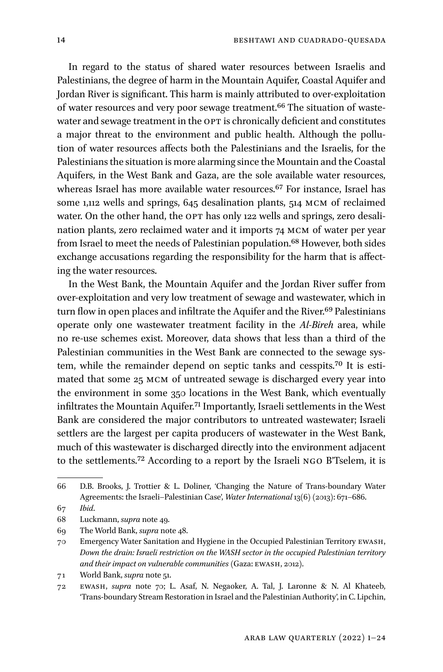In regard to the status of shared water resources between Israelis and Palestinians, the degree of harm in the Mountain Aquifer, Coastal Aquifer and Jordan River is significant. This harm is mainly attributed to over-exploitation of water resources and very poor sewage treatment.<sup>66</sup> The situation of wastewater and sewage treatment in the OPT is chronically deficient and constitutes a major threat to the environment and public health. Although the pollution of water resources affects both the Palestinians and the Israelis, for the Palestinians the situation is more alarming since the Mountain and the Coastal Aquifers, in the West Bank and Gaza, are the sole available water resources, whereas Israel has more available water resources.<sup>67</sup> For instance, Israel has some 1,112 wells and springs, 645 desalination plants, 514 MCM of reclaimed water. On the other hand, the OPT has only 122 wells and springs, zero desalination plants, zero reclaimed water and it imports 74 MCM of water per year from Israel to meet the needs of Palestinian population.<sup>68</sup> However, both sides exchange accusations regarding the responsibility for the harm that is affecting the water resources.

In the West Bank, the Mountain Aquifer and the Jordan River suffer from over-exploitation and very low treatment of sewage and wastewater, which in turn flow in open places and infiltrate the Aquifer and the River.<sup>69</sup> Palestinians operate only one wastewater treatment facility in the *Al-Bireh* area, while no re-use schemes exist. Moreover, data shows that less than a third of the Palestinian communities in the West Bank are connected to the sewage system, while the remainder depend on septic tanks and cesspits.70 It is estimated that some 25 MCM of untreated sewage is discharged every year into the environment in some 350 locations in the West Bank, which eventually infiltrates the Mountain Aquifer.71 Importantly, Israeli settlements in the West Bank are considered the major contributors to untreated wastewater; Israeli settlers are the largest per capita producers of wastewater in the West Bank, much of this wastewater is discharged directly into the environment adjacent to the settlements.72 According to a report by the Israeli NGO B'Tselem, it is

<sup>66</sup> D.B. Brooks, J. Trottier & L. Doliner, 'Changing the Nature of Trans-boundary Water Agreements: the Israeli–Palestinian Case', *Water International* 13(6) (2013): 671–686.

<sup>67</sup> *Ibid*.

<sup>68</sup> Luckmann, *supra* note 49.

<sup>69</sup> The World Bank, *supra* note 48.

<sup>70</sup> Emergency Water Sanitation and Hygiene in the Occupied Palestinian Territory EWASH, *Down the drain: Israeli restriction on the WASH sector in the occupied Palestinian territory and their impact on vulnerable communities* (Gaza: EWASH, 2012).

<sup>71</sup> World Bank, *supra* note 51.

<sup>72</sup> EWASH, *supra* note 70; L. Asaf, N. Negaoker, A. Tal, J. Laronne & N. Al Khateeb, 'Trans-boundary Stream Restoration in Israel and the Palestinian Authority', in C. Lipchin,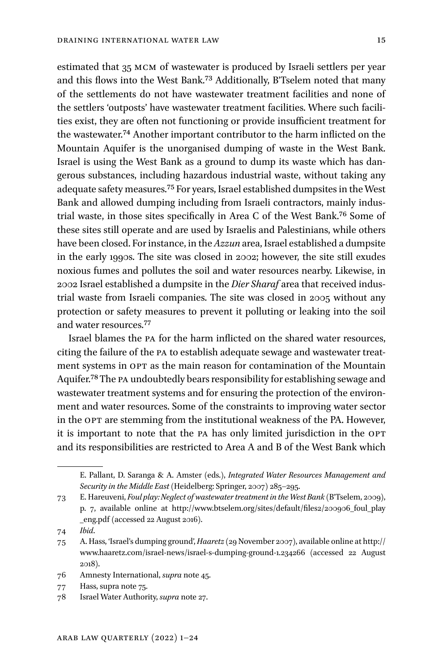estimated that 35 MCM of wastewater is produced by Israeli settlers per year and this flows into the West Bank.73 Additionally, B'Tselem noted that many of the settlements do not have wastewater treatment facilities and none of the settlers 'outposts' have wastewater treatment facilities. Where such facilities exist, they are often not functioning or provide insufficient treatment for the wastewater.74 Another important contributor to the harm inflicted on the Mountain Aquifer is the unorganised dumping of waste in the West Bank. Israel is using the West Bank as a ground to dump its waste which has dangerous substances, including hazardous industrial waste, without taking any adequate safety measures.75 For years, Israel established dumpsites in the West Bank and allowed dumping including from Israeli contractors, mainly industrial waste, in those sites specifically in Area C of the West Bank.76 Some of these sites still operate and are used by Israelis and Palestinians, while others have been closed. For instance, in the *Azzun* area, Israel established a dumpsite in the early 1990s. The site was closed in 2002; however, the site still exudes noxious fumes and pollutes the soil and water resources nearby. Likewise, in 2002 Israel established a dumpsite in the *Dier Sharaf* area that received industrial waste from Israeli companies. The site was closed in 2005 without any protection or safety measures to prevent it polluting or leaking into the soil and water resources.77

Israel blames the PA for the harm inflicted on the shared water resources, citing the failure of the PA to establish adequate sewage and wastewater treatment systems in OPT as the main reason for contamination of the Mountain Aquifer.78 The PA undoubtedly bears responsibility for establishing sewage and wastewater treatment systems and for ensuring the protection of the environment and water resources. Some of the constraints to improving water sector in the OPT are stemming from the institutional weakness of the PA. However, it is important to note that the PA has only limited jurisdiction in the OPT and its responsibilities are restricted to Area A and B of the West Bank which

74 *Ibid*.

77 Hass, supra note 75.

E. Pallant, D. Saranga & A. Amster (eds.), *Integrated Water Resources Management and Security in the Middle East* (Heidelberg: Springer, 2007) 285–295.

<sup>73</sup> E. Hareuveni, *Foul play: Neglect of wastewater treatment in the West Bank* (B'Tselem, 2009), p. 7, available online at [http://www.btselem.org/sites/default/files2/200906\\_foul\\_play](http://www.btselem.org/sites/default/files2/200906_foul_play_eng.pdf) [\\_eng.pdf](http://www.btselem.org/sites/default/files2/200906_foul_play_eng.pdf) (accessed 22 August 2016).

<sup>75</sup> A. Hass, 'Israel's dumping ground', *Haaretz* (29 November 2007), available online at [http://](http://www.haaretz.com/israel-news/israel-s-dumping-ground-1.234266) [www.haaretz.com/israel-news/israel-s-dumping-ground-1.234266](http://www.haaretz.com/israel-news/israel-s-dumping-ground-1.234266) (accessed 22 August 2018).

<sup>76</sup> Amnesty International, *supra* note 45.

<sup>78</sup> Israel Water Authority, *supra* note 27.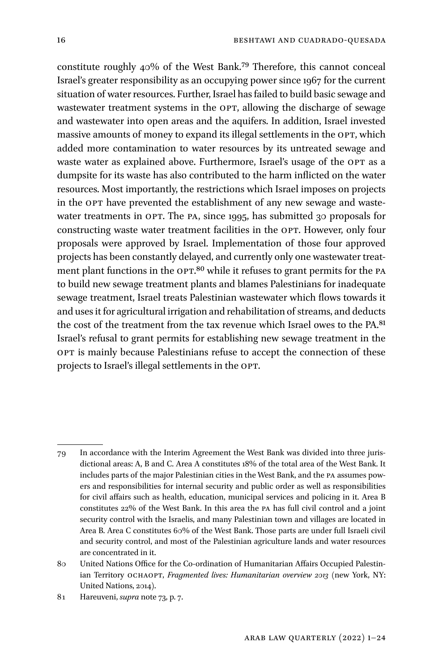constitute roughly 40% of the West Bank.79 Therefore, this cannot conceal Israel's greater responsibility as an occupying power since 1967 for the current situation of water resources. Further, Israel has failed to build basic sewage and wastewater treatment systems in the OPT, allowing the discharge of sewage and wastewater into open areas and the aquifers. In addition, Israel invested massive amounts of money to expand its illegal settlements in the OPT, which added more contamination to water resources by its untreated sewage and waste water as explained above. Furthermore, Israel's usage of the OPT as a dumpsite for its waste has also contributed to the harm inflicted on the water resources. Most importantly, the restrictions which Israel imposes on projects in the OPT have prevented the establishment of any new sewage and wastewater treatments in OPT. The PA, since 1995, has submitted 30 proposals for constructing waste water treatment facilities in the OPT. However, only four proposals were approved by Israel. Implementation of those four approved projects has been constantly delayed, and currently only one wastewater treatment plant functions in the OPT.<sup>80</sup> while it refuses to grant permits for the PA to build new sewage treatment plants and blames Palestinians for inadequate sewage treatment, Israel treats Palestinian wastewater which flows towards it and uses it for agricultural irrigation and rehabilitation of streams, and deducts the cost of the treatment from the tax revenue which Israel owes to the PA.81 Israel's refusal to grant permits for establishing new sewage treatment in the OPT is mainly because Palestinians refuse to accept the connection of these projects to Israel's illegal settlements in the OPT.

<sup>79</sup> In accordance with the Interim Agreement the West Bank was divided into three jurisdictional areas: A, B and C. Area A constitutes 18% of the total area of the West Bank. It includes parts of the major Palestinian cities in the West Bank, and the PA assumes powers and responsibilities for internal security and public order as well as responsibilities for civil affairs such as health, education, municipal services and policing in it. Area B constitutes 22% of the West Bank. In this area the PA has full civil control and a joint security control with the Israelis, and many Palestinian town and villages are located in Area B. Area C constitutes 60% of the West Bank. Those parts are under full Israeli civil and security control, and most of the Palestinian agriculture lands and water resources are concentrated in it.

<sup>80</sup> United Nations Office for the Co-ordination of Humanitarian Affairs Occupied Palestinian Territory OCHAOPT, *Fragmented lives: Humanitarian overview 2013* (new York, NY: United Nations, 2014).

<sup>81</sup> Hareuveni, *supra* note 73, p. 7.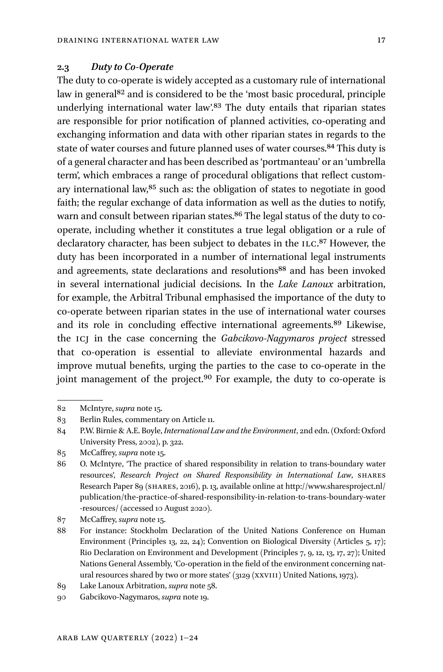### **2.3** *Duty to Co-Operate*

The duty to co-operate is widely accepted as a customary rule of international law in general<sup>82</sup> and is considered to be the 'most basic procedural, principle underlying international water law'.<sup>83</sup> The duty entails that riparian states are responsible for prior notification of planned activities, co-operating and exchanging information and data with other riparian states in regards to the state of water courses and future planned uses of water courses.<sup>84</sup> This duty is of a general character and has been described as 'portmanteau' or an 'umbrella term', which embraces a range of procedural obligations that reflect customary international law,85 such as: the obligation of states to negotiate in good faith; the regular exchange of data information as well as the duties to notify, warn and consult between riparian states.<sup>86</sup> The legal status of the duty to cooperate, including whether it constitutes a true legal obligation or a rule of declaratory character, has been subject to debates in the ILC.<sup>87</sup> However, the duty has been incorporated in a number of international legal instruments and agreements, state declarations and resolutions<sup>88</sup> and has been invoked in several international judicial decisions. In the *Lake Lanoux* arbitration, for example, the Arbitral Tribunal emphasised the importance of the duty to co-operate between riparian states in the use of international water courses and its role in concluding effective international agreements.89 Likewise, the ICJ in the case concerning the *Gabcikovo-Nagymaros project* stressed that co-operation is essential to alleviate environmental hazards and improve mutual benefits, urging the parties to the case to co-operate in the joint management of the project.<sup>90</sup> For example, the duty to co-operate is

<sup>82</sup> McIntyre, *supra* note 15.

<sup>83</sup> Berlin Rules, commentary on Article 11.

<sup>84</sup> P.W. Birnie & A.E. Boyle, *International Law and the Environment*, 2nd edn.(Oxford: Oxford University Press, 2002), p. 322.

<sup>85</sup> McCaffrey, *supra* note 15.

<sup>86</sup> O. McIntyre, 'The practice of shared responsibility in relation to trans-boundary water resources', *Research Project on Shared Responsibility in International Law*, SHARES Research Paper 89 (SHARES, 2016), p. 13, available online at [http://www.sharesproject.nl/](http://www.sharesproject.nl/publication/the-practice-of-shared-responsibility-in-relation-to-trans-boundary-water-resources/) [publication/the-practice-of-shared-responsibility-](http://www.sharesproject.nl/publication/the-practice-of-shared-responsibility-in-relation-to-trans-boundary-water-resources/)in-relation-to-trans-boundary-water [-resources/](http://www.sharesproject.nl/publication/the-practice-of-shared-responsibility-in-relation-to-trans-boundary-water-resources/) (accessed 10 August 2020).

<sup>87</sup> McCaffrey, *supra* note 15.

<sup>88</sup> For instance: Stockholm Declaration of the United Nations Conference on Human Environment (Principles 13, 22, 24); Convention on Biological Diversity (Articles 5, 17); Rio Declaration on Environment and Development (Principles 7, 9, 12, 13, 17, 27); United Nations General Assembly, 'Co-operation in the field of the environment concerning natural resources shared by two or more states' (3129 (XXVIII) United Nations, 1973).

<sup>89</sup> Lake Lanoux Arbitration, *supra* note 58.

<sup>90</sup> Gabcikovo-Nagymaros, *supra* note 19.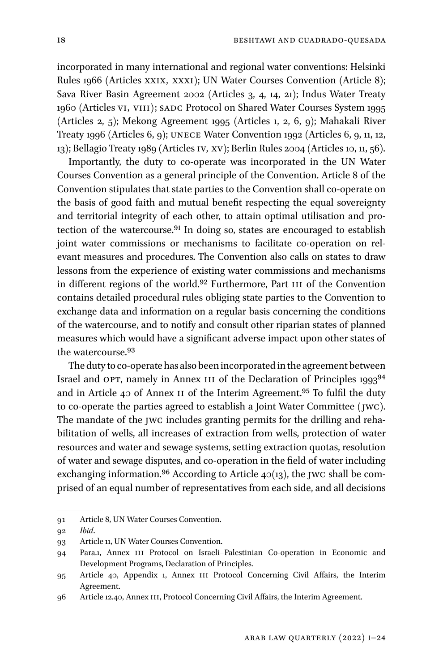incorporated in many international and regional water conventions: Helsinki Rules 1966 (Articles XXIX, XXXI); UN Water Courses Convention (Article 8); Sava River Basin Agreement 2002 (Articles 3, 4, 14, 21); Indus Water Treaty 1960 (Articles VI, VIII); SADC Protocol on Shared Water Courses System 1995 (Articles 2, 5); Mekong Agreement 1995 (Articles 1, 2, 6, 9); Mahakali River Treaty 1996 (Articles 6, 9); UNECE Water Convention 1992 (Articles 6, 9, 11, 12, 13); Bellagio Treaty 1989 (Articles IV, XV); Berlin Rules 2004 (Articles 10, 11, 56).

Importantly, the duty to co-operate was incorporated in the UN Water Courses Convention as a general principle of the Convention. Article 8 of the Convention stipulates that state parties to the Convention shall co-operate on the basis of good faith and mutual benefit respecting the equal sovereignty and territorial integrity of each other, to attain optimal utilisation and protection of the watercourse.<sup>91</sup> In doing so, states are encouraged to establish joint water commissions or mechanisms to facilitate co-operation on relevant measures and procedures. The Convention also calls on states to draw lessons from the experience of existing water commissions and mechanisms in different regions of the world.92 Furthermore, Part III of the Convention contains detailed procedural rules obliging state parties to the Convention to exchange data and information on a regular basis concerning the conditions of the watercourse, and to notify and consult other riparian states of planned measures which would have a significant adverse impact upon other states of the watercourse.93

The duty to co-operate has also been incorporated in the agreement between Israel and OPT, namely in Annex III of the Declaration of Principles 199394 and in Article 40 of Annex II of the Interim Agreement.95 To fulfil the duty to co-operate the parties agreed to establish a Joint Water Committee (JWC). The mandate of the JWC includes granting permits for the drilling and rehabilitation of wells, all increases of extraction from wells, protection of water resources and water and sewage systems, setting extraction quotas, resolution of water and sewage disputes, and co-operation in the field of water including exchanging information.<sup>96</sup> According to Article  $40(13)$ , the JWC shall be comprised of an equal number of representatives from each side, and all decisions

<sup>91</sup> Article 8, UN Water Courses Convention.

<sup>92</sup> *Ibid*.

<sup>93</sup> Article 11, UN Water Courses Convention.

<sup>94</sup> Para.1, Annex III Protocol on Israeli–Palestinian Co-operation in Economic and Development Programs, Declaration of Principles.

<sup>95</sup> Article 40, Appendix 1, Annex III Protocol Concerning Civil Affairs, the Interim Agreement.

<sup>96</sup> Article 12.40, Annex III, Protocol Concerning Civil Affairs, the Interim Agreement.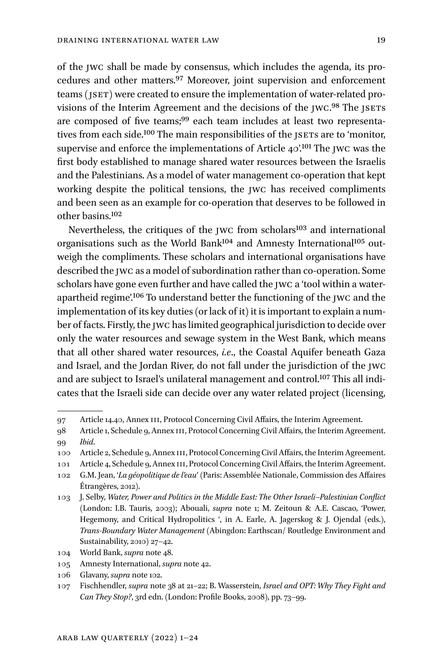of the JWC shall be made by consensus, which includes the agenda, its procedures and other matters.97 Moreover, joint supervision and enforcement teams (JSET) were created to ensure the implementation of water-related provisions of the Interim Agreement and the decisions of the JWC.<sup>98</sup> The JSETS are composed of five teams;99 each team includes at least two representatives from each side.100 The main responsibilities of the JSETs are to 'monitor, supervise and enforce the implementations of Article 40'.<sup>101</sup> The JWC was the first body established to manage shared water resources between the Israelis and the Palestinians. As a model of water management co-operation that kept working despite the political tensions, the JWC has received compliments and been seen as an example for co-operation that deserves to be followed in other basins.102

Nevertheless, the critiques of the JWC from scholars<sup>103</sup> and international organisations such as the World Bank104 and Amnesty International105 outweigh the compliments. These scholars and international organisations have described the JWC as a model of subordination rather than co-operation. Some scholars have gone even further and have called the JWC a 'tool within a waterapartheid regime<sup>'106</sup> To understand better the functioning of the JWC and the implementation of its key duties (or lack of it) it is important to explain a number of facts. Firstly, the JWC has limited geographical jurisdiction to decide over only the water resources and sewage system in the West Bank, which means that all other shared water resources, *i.e*., the Coastal Aquifer beneath Gaza and Israel, and the Jordan River, do not fall under the jurisdiction of the JWC and are subject to Israel's unilateral management and control.107 This all indicates that the Israeli side can decide over any water related project (licensing,

106 Glavany, *supra* note 102.

<sup>97</sup> Article 14.40, Annex III, Protocol Concerning Civil Affairs, the Interim Agreement.

<sup>98</sup> Article 1, Schedule 9, Annex III, Protocol Concerning Civil Affairs, the Interim Agreement. 99 *Ibid*.

<sup>100</sup> Article 2, Schedule 9, Annex III, Protocol Concerning Civil Affairs, the Interim Agreement.

<sup>101</sup> Article 4, Schedule 9, Annex III, Protocol Concerning Civil Affairs, the Interim Agreement.

<sup>102</sup> G.M. Jean, '*La géopolitique de l'eau*' (Paris: Assemblée Nationale, Commission des Affaires Étrangères, 2012).

<sup>103</sup> J. Selby, *Water, Power and Politics in the Middle East: The Other Israeli*–*Palestinian Conflict*  (London: I.B. Tauris, 2003); Abouali, *supra* note 1; M. Zeitoun & A.E. Cascao, 'Power, Hegemony, and Critical Hydropolitics ', in A. Earle, A. Jagerskog & J. Ojendal (eds.), *Trans-Boundary Water Management* (Abingdon: Earthscan/ Routledge Environment and Sustainability, 2010) 27–42.

<sup>104</sup> World Bank, *supra* note 48.

<sup>105</sup> Amnesty International, *supra* note 42.

<sup>107</sup> Fischhendler, *supra* note 38 at 21–22; B. Wasserstein, *Israel and OPT: Why They Fight and Can They Stop?*, 3rd edn. (London: Profile Books, 2008), pp. 73–99.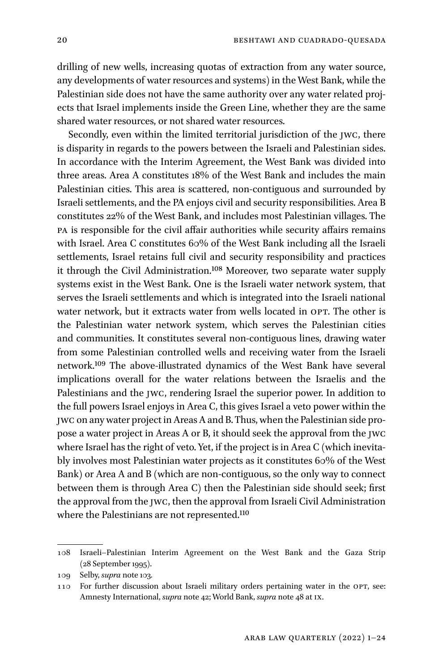drilling of new wells, increasing quotas of extraction from any water source, any developments of water resources and systems) in the West Bank, while the Palestinian side does not have the same authority over any water related projects that Israel implements inside the Green Line, whether they are the same shared water resources, or not shared water resources.

Secondly, even within the limited territorial jurisdiction of the JWC, there is disparity in regards to the powers between the Israeli and Palestinian sides. In accordance with the Interim Agreement, the West Bank was divided into three areas. Area A constitutes 18% of the West Bank and includes the main Palestinian cities. This area is scattered, non-contiguous and surrounded by Israeli settlements, and the PA enjoys civil and security responsibilities. Area B constitutes 22% of the West Bank, and includes most Palestinian villages. The PA is responsible for the civil affair authorities while security affairs remains with Israel. Area C constitutes 60% of the West Bank including all the Israeli settlements, Israel retains full civil and security responsibility and practices it through the Civil Administration.108 Moreover, two separate water supply systems exist in the West Bank. One is the Israeli water network system, that serves the Israeli settlements and which is integrated into the Israeli national water network, but it extracts water from wells located in OPT. The other is the Palestinian water network system, which serves the Palestinian cities and communities. It constitutes several non-contiguous lines, drawing water from some Palestinian controlled wells and receiving water from the Israeli network.109 The above-illustrated dynamics of the West Bank have several implications overall for the water relations between the Israelis and the Palestinians and the JWC, rendering Israel the superior power. In addition to the full powers Israel enjoys in Area C, this gives Israel a veto power within the JWC on any water project in Areas A and B. Thus, when the Palestinian side propose a water project in Areas A or B, it should seek the approval from the JWC where Israel has the right of veto. Yet, if the project is in Area C (which inevitably involves most Palestinian water projects as it constitutes 60% of the West Bank) or Area A and B (which are non-contiguous, so the only way to connect between them is through Area C) then the Palestinian side should seek; first the approval from the JWC, then the approval from Israeli Civil Administration where the Palestinians are not represented.<sup>110</sup>

<sup>108</sup> Israeli–Palestinian Interim Agreement on the West Bank and the Gaza Strip (28 September 1995).

<sup>109</sup> Selby, *supra* note 103*.*

<sup>110</sup> For further discussion about Israeli military orders pertaining water in the OPT, see: Amnesty International, *supra* note 42; World Bank, *supra* note 48 at IX.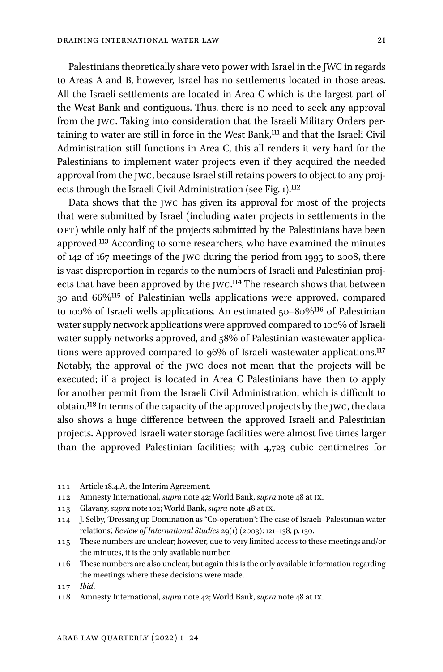Palestinians theoretically share veto power with Israel in the JWC in regards to Areas A and B, however, Israel has no settlements located in those areas. All the Israeli settlements are located in Area C which is the largest part of the West Bank and contiguous. Thus, there is no need to seek any approval from the JWC. Taking into consideration that the Israeli Military Orders pertaining to water are still in force in the West Bank,<sup>111</sup> and that the Israeli Civil Administration still functions in Area C, this all renders it very hard for the Palestinians to implement water projects even if they acquired the needed approval from the JWC, because Israel still retains powers to object to any projects through the Israeli Civil Administration (see Fig. 1).<sup>112</sup>

Data shows that the JWC has given its approval for most of the projects that were submitted by Israel (including water projects in settlements in the OPT) while only half of the projects submitted by the Palestinians have been approved.<sup>113</sup> According to some researchers, who have examined the minutes of 142 of 167 meetings of the JWC during the period from 1995 to 2008, there is vast disproportion in regards to the numbers of Israeli and Palestinian projects that have been approved by the JWC.<sup>114</sup> The research shows that between 30 and 66%115 of Palestinian wells applications were approved, compared to 100% of Israeli wells applications. An estimated 50–80%116 of Palestinian water supply network applications were approved compared to 100% of Israeli water supply networks approved, and 58% of Palestinian wastewater applications were approved compared to 96% of Israeli wastewater applications.117 Notably, the approval of the JWC does not mean that the projects will be executed; if a project is located in Area C Palestinians have then to apply for another permit from the Israeli Civil Administration, which is difficult to obtain.118 In terms of the capacity of the approved projects by the JWC, the data also shows a huge difference between the approved Israeli and Palestinian projects. Approved Israeli water storage facilities were almost five times larger than the approved Palestinian facilities; with 4,723 cubic centimetres for

<sup>111</sup> Article 18.4.A, the Interim Agreement.

<sup>112</sup> Amnesty International, *supra* note 42; World Bank, *supra* note 48 at IX.

<sup>113</sup> Glavany, *supra* note 102; World Bank, *supra* note 48 at IX.

<sup>114</sup> J. Selby, 'Dressing up Domination as "Co-operation": The case of Israeli–Palestinian water relations', *Review of International Studies* 29(1) (2003): 121–138, p. 130.

<sup>115</sup> These numbers are unclear; however, due to very limited access to these meetings and/or the minutes, it is the only available number.

<sup>116</sup> These numbers are also unclear, but again this is the only available information regarding the meetings where these decisions were made.

<sup>117</sup> *Ibid*.

<sup>118</sup> Amnesty International, *supra* note 42; World Bank, *supra* note 48 at IX.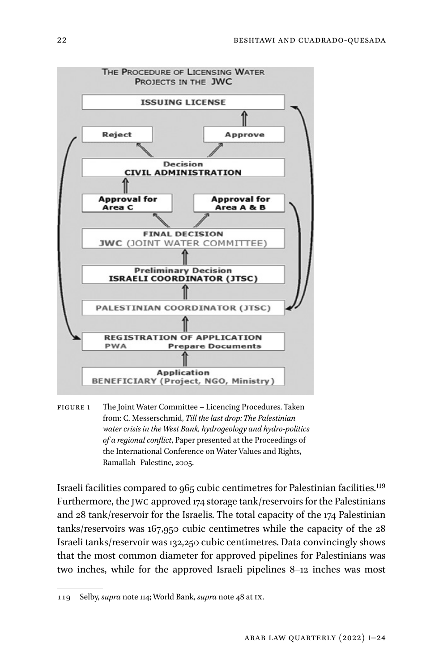

FIGURE 1 The Joint Water Committee – Licencing Procedures. Taken from: C. Messerschmid, *Till the last drop: The Palestinian water crisis in the West Bank, hydrogeology and hydro-politics of a regional conflict*, Paper presented at the Proceedings of the International Conference on Water Values and Rights, Ramallah–Palestine, 2005.

Israeli facilities compared to 965 cubic centimetres for Palestinian facilities.119 Furthermore, the JWC approved 174 storage tank/reservoirs for the Palestinians and 28 tank/reservoir for the Israelis. The total capacity of the 174 Palestinian tanks/reservoirs was 167,950 cubic centimetres while the capacity of the 28 Israeli tanks/reservoir was 132,250 cubic centimetres. Data convincingly shows that the most common diameter for approved pipelines for Palestinians was two inches, while for the approved Israeli pipelines 8–12 inches was most

<sup>119</sup> Selby, *supra* note 114; World Bank, *supra* note 48 at IX.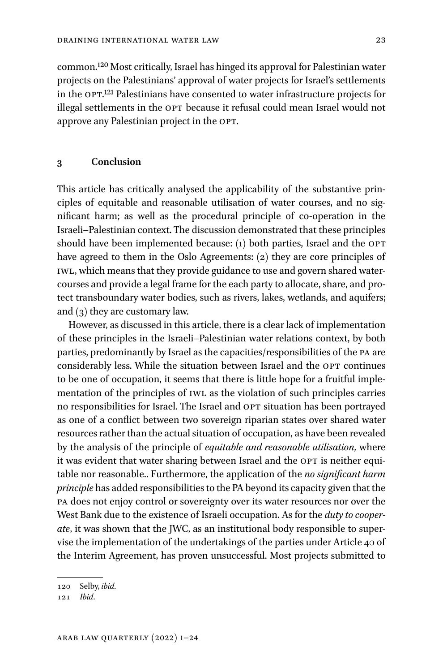common.120 Most critically, Israel has hinged its approval for Palestinian water projects on the Palestinians' approval of water projects for Israel's settlements in the OPT.121 Palestinians have consented to water infrastructure projects for illegal settlements in the OPT because it refusal could mean Israel would not approve any Palestinian project in the OPT.

#### **3 Conclusion**

This article has critically analysed the applicability of the substantive principles of equitable and reasonable utilisation of water courses, and no significant harm; as well as the procedural principle of co-operation in the Israeli–Palestinian context. The discussion demonstrated that these principles should have been implemented because: (1) both parties, Israel and the OPT have agreed to them in the Oslo Agreements: (2) they are core principles of IWL, which means that they provide guidance to use and govern shared watercourses and provide a legal frame for the each party to allocate, share, and protect transboundary water bodies, such as rivers, lakes, wetlands, and aquifers; and (3) they are customary law.

However, as discussed in this article, there is a clear lack of implementation of these principles in the Israeli–Palestinian water relations context, by both parties, predominantly by Israel as the capacities/responsibilities of the PA are considerably less. While the situation between Israel and the OPT continues to be one of occupation, it seems that there is little hope for a fruitful implementation of the principles of IWL as the violation of such principles carries no responsibilities for Israel. The Israel and OPT situation has been portrayed as one of a conflict between two sovereign riparian states over shared water resources rather than the actual situation of occupation, as have been revealed by the analysis of the principle of *equitable and reasonable utilisation,* where it was evident that water sharing between Israel and the OPT is neither equitable nor reasonable.. Furthermore, the application of the *no significant harm principle* has added responsibilities to the PA beyond its capacity given that the PA does not enjoy control or sovereignty over its water resources nor over the West Bank due to the existence of Israeli occupation. As for the *duty to cooperate*, it was shown that the JWC, as an institutional body responsible to supervise the implementation of the undertakings of the parties under Article 40 of the Interim Agreement, has proven unsuccessful. Most projects submitted to

<sup>120</sup> Selby, *ibid*.

<sup>121</sup> *Ibid*.